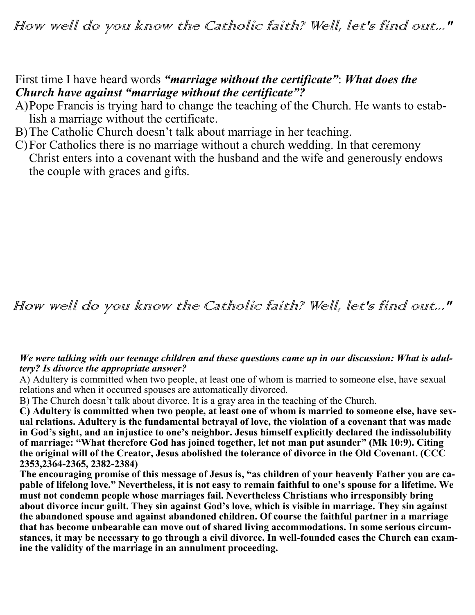How well do you know the Catholic faith? Well, let's find out..."

## First time I have heard words *"marriage without the certificate"*: *What does the Church have against "marriage without the certificate"?*

- A)Pope Francis is trying hard to change the teaching of the Church. He wants to establish a marriage without the certificate.
- B)The Catholic Church doesn't talk about marriage in her teaching.
- C)For Catholics there is no marriage without a church wedding. In that ceremony Christ enters into a covenant with the husband and the wife and generously endows the couple with graces and gifts.

# How well do you know the Catholic faith? Well, let's find out..."

### *We were talking with our teenage children and these questions came up in our discussion: What is adultery? Is divorce the appropriate answer?*

A) Adultery is committed when two people, at least one of whom is married to someone else, have sexual relations and when it occurred spouses are automatically divorced.

B) The Church doesn't talk about divorce. It is a gray area in the teaching of the Church.

**C) Adultery is committed when two people, at least one of whom is married to someone else, have sexual relations. Adultery is the fundamental betrayal of love, the violation of a covenant that was made in God's sight, and an injustice to one's neighbor. Jesus himself explicitly declared the indissolubility of marriage: "What therefore God has joined together, let not man put asunder" (Mk 10:9). Citing the original will of the Creator, Jesus abolished the tolerance of divorce in the Old Covenant. (CCC 2353,2364-2365, 2382-2384)**

**The encouraging promise of this message of Jesus is, "as children of your heavenly Father you are capable of lifelong love." Nevertheless, it is not easy to remain faithful to one's spouse for a lifetime. We must not condemn people whose marriages fail. Nevertheless Christians who irresponsibly bring about divorce incur guilt. They sin against God's love, which is visible in marriage. They sin against the abandoned spouse and against abandoned children. Of course the faithful partner in a marriage that has become unbearable can move out of shared living accommodations. In some serious circumstances, it may be necessary to go through a civil divorce. In well-founded cases the Church can examine the validity of the marriage in an annulment proceeding.**